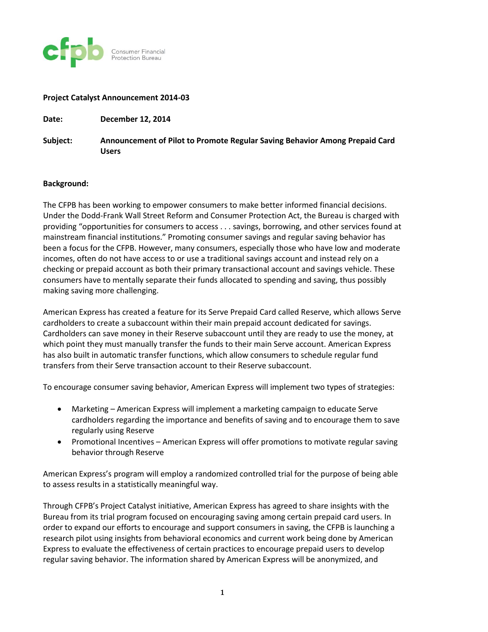

## **Project Catalyst Announcement 2014-03**

**Date: December 12, 2014**

**Subject: Announcement of Pilot to Promote Regular Saving Behavior Among Prepaid Card Users**

## **Background:**

The CFPB has been working to empower consumers to make better informed financial decisions. Under the Dodd-Frank Wall Street Reform and Consumer Protection Act, the Bureau is charged with providing "opportunities for consumers to access . . . savings, borrowing, and other services found at mainstream financial institutions." Promoting consumer savings and regular saving behavior has been a focus for the CFPB. However, many consumers, especially those who have low and moderate incomes, often do not have access to or use a traditional savings account and instead rely on a checking or prepaid account as both their primary transactional account and savings vehicle. These consumers have to mentally separate their funds allocated to spending and saving, thus possibly making saving more challenging.

American Express has created a feature for its Serve Prepaid Card called Reserve, which allows Serve cardholders to create a subaccount within their main prepaid account dedicated for savings. Cardholders can save money in their Reserve subaccount until they are ready to use the money, at which point they must manually transfer the funds to their main Serve account. American Express has also built in automatic transfer functions, which allow consumers to schedule regular fund transfers from their Serve transaction account to their Reserve subaccount.

To encourage consumer saving behavior, American Express will implement two types of strategies:

- Marketing American Express will implement a marketing campaign to educate Serve cardholders regarding the importance and benefits of saving and to encourage them to save regularly using Reserve
- Promotional Incentives American Express will offer promotions to motivate regular saving behavior through Reserve

American Express's program will employ a randomized controlled trial for the purpose of being able to assess results in a statistically meaningful way.

Through CFPB's Project Catalyst initiative, American Express has agreed to share insights with the Bureau from its trial program focused on encouraging saving among certain prepaid card users. In order to expand our efforts to encourage and support consumers in saving, the CFPB is launching a research pilot using insights from behavioral economics and current work being done by American Express to evaluate the effectiveness of certain practices to encourage prepaid users to develop regular saving behavior. The information shared by American Express will be anonymized, and